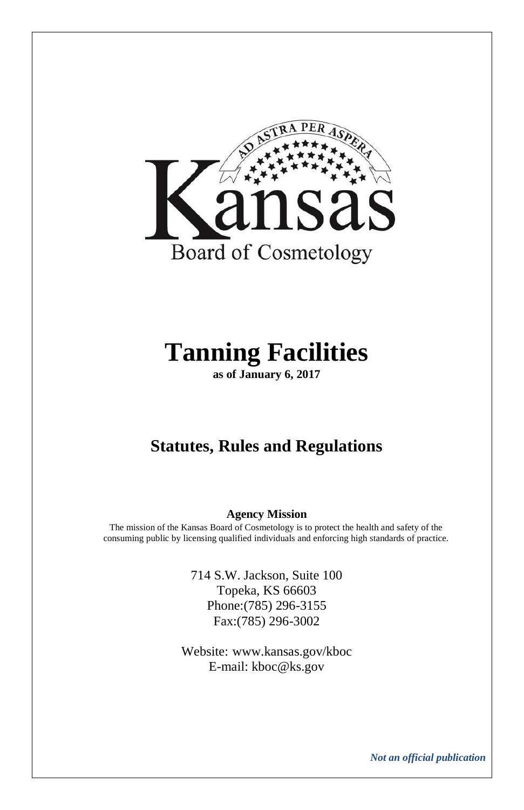

# **Tanning Facilities**

**as of January 6, 2017**

### **Statutes, Rules and Regulations**

#### **Agency Mission**

The mission of the Kansas Board of Cosmetology is to protect the health and safety of the consuming public by licensing qualified individuals and enforcing high standards of practice.

> 714 S.W. Jackson, Suite 100 Topeka, KS 66603 Phone:(785) 296-3155 Fax:(785) 296-3002

Website: [www.kansas.gov/kboc](http://www.kansas.gov/kboc) E-mail: kboc@ks.gov

*Not an official publication*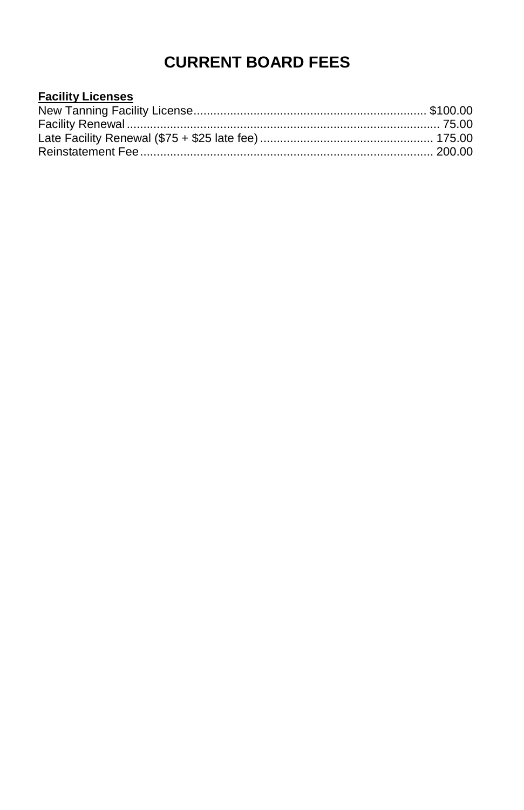### **CURRENT BOARD FEES**

| <b>Facility Licenses</b> |  |
|--------------------------|--|
|                          |  |
|                          |  |
|                          |  |
|                          |  |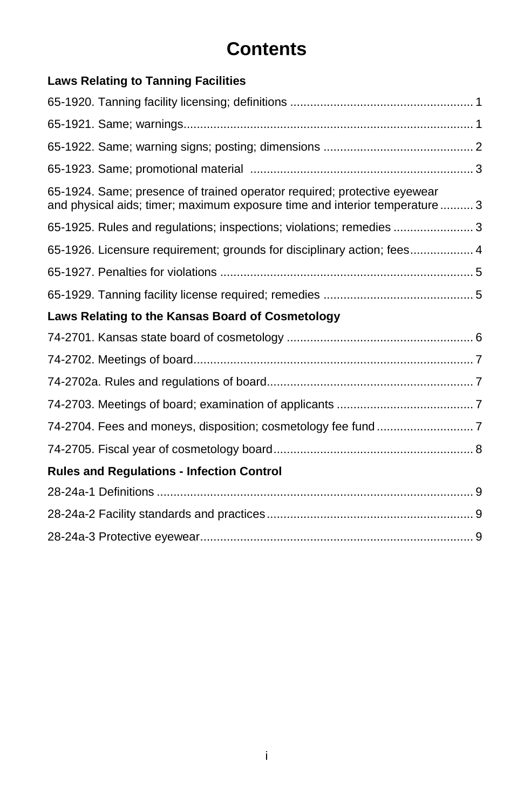# **Contents**

| <b>Laws Relating to Tanning Facilities</b>                                                                                                             |
|--------------------------------------------------------------------------------------------------------------------------------------------------------|
|                                                                                                                                                        |
|                                                                                                                                                        |
|                                                                                                                                                        |
|                                                                                                                                                        |
| 65-1924. Same; presence of trained operator required; protective eyewear<br>and physical aids; timer; maximum exposure time and interior temperature 3 |
| 65-1925. Rules and regulations; inspections; violations; remedies  3                                                                                   |
| 65-1926. Licensure requirement; grounds for disciplinary action; fees 4                                                                                |
|                                                                                                                                                        |
|                                                                                                                                                        |
| Laws Relating to the Kansas Board of Cosmetology                                                                                                       |
|                                                                                                                                                        |
|                                                                                                                                                        |
|                                                                                                                                                        |
|                                                                                                                                                        |
|                                                                                                                                                        |
|                                                                                                                                                        |
| <b>Rules and Regulations - Infection Control</b>                                                                                                       |
|                                                                                                                                                        |
|                                                                                                                                                        |
|                                                                                                                                                        |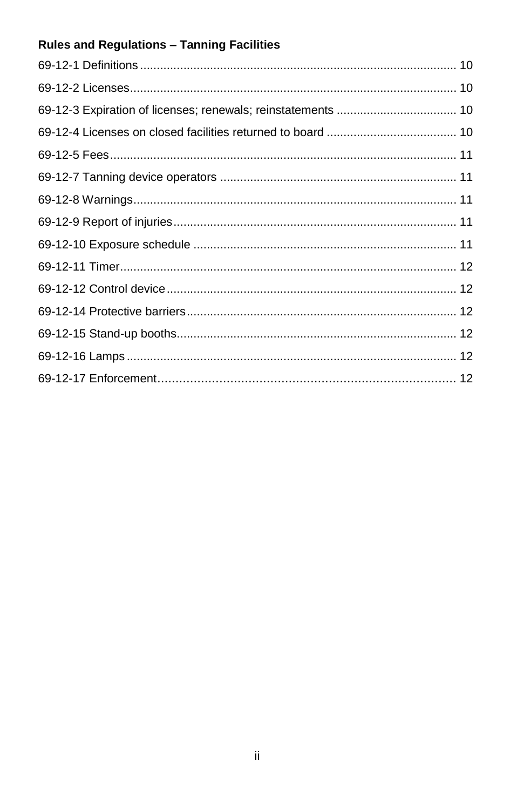### Rules and Regulations - Tanning Facilities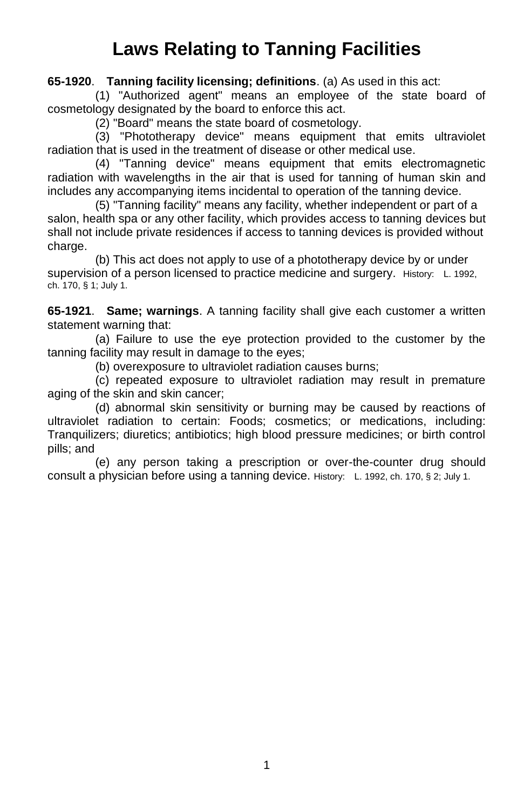# **Laws Relating to Tanning Facilities**

**65-1920**. **Tanning facility licensing; definitions**. (a) As used in this act:

(1) "Authorized agent" means an employee of the state board of cosmetology designated by the board to enforce this act.

(2) "Board" means the state board of cosmetology.

(3) "Phototherapy device" means equipment that emits ultraviolet radiation that is used in the treatment of disease or other medical use.

(4) "Tanning device" means equipment that emits electromagnetic radiation with wavelengths in the air that is used for tanning of human skin and includes any accompanying items incidental to operation of the tanning device.

(5) "Tanning facility" means any facility, whether independent or part of a salon, health spa or any other facility, which provides access to tanning devices but shall not include private residences if access to tanning devices is provided without charge.

(b) This act does not apply to use of a phototherapy device by or under supervision of a person licensed to practice medicine and surgery. History: L. 1992, ch. 170, § 1; July 1.

**65-1921**. **Same; warnings**. A tanning facility shall give each customer a written statement warning that:

(a) Failure to use the eye protection provided to the customer by the tanning facility may result in damage to the eyes;

(b) overexposure to ultraviolet radiation causes burns;

(c) repeated exposure to ultraviolet radiation may result in premature aging of the skin and skin cancer;

(d) abnormal skin sensitivity or burning may be caused by reactions of ultraviolet radiation to certain: Foods; cosmetics; or medications, including: Tranquilizers; diuretics; antibiotics; high blood pressure medicines; or birth control pills; and

(e) any person taking a prescription or over-the-counter drug should consult a physician before using a tanning device. History: L. 1992, ch. 170, § 2; July 1.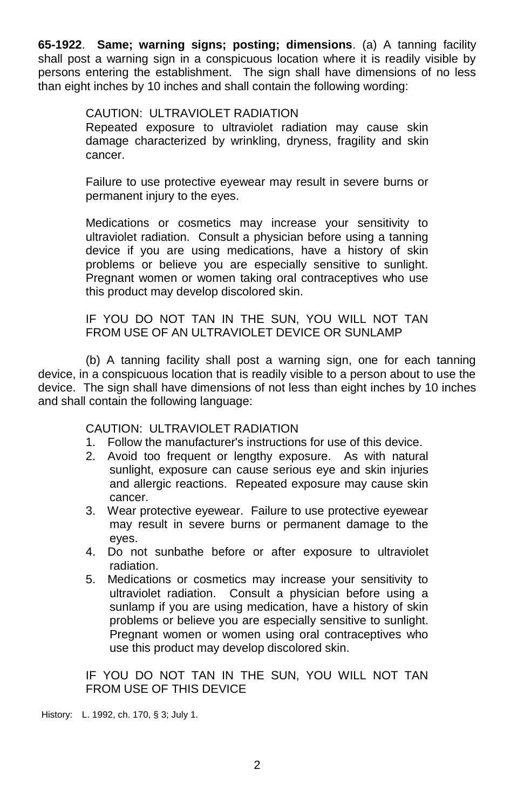**65-1922**. **Same; warning signs; posting; dimensions**. (a) A tanning facility shall post a warning sign in a conspicuous location where it is readily visible by persons entering the establishment. The sign shall have dimensions of no less than eight inches by 10 inches and shall contain the following wording:

#### CAUTION: ULTRAVIOLET RADIATION

Repeated exposure to ultraviolet radiation may cause skin damage characterized by wrinkling, dryness, fragility and skin cancer.

Failure to use protective eyewear may result in severe burns or permanent injury to the eyes.

Medications or cosmetics may increase your sensitivity to ultraviolet radiation. Consult a physician before using a tanning device if you are using medications, have a history of skin problems or believe you are especially sensitive to sunlight. Pregnant women or women taking oral contraceptives who use this product may develop discolored skin.

IF YOU DO NOT TAN IN THE SUN, YOU WILL NOT TAN FROM USE OF AN ULTRAVIOLET DEVICE OR SUNLAMP

(b) A tanning facility shall post a warning sign, one for each tanning device, in a conspicuous location that is readily visible to a person about to use the device. The sign shall have dimensions of not less than eight inches by 10 inches and shall contain the following language:

#### CAUTION: ULTRAVIOLET RADIATION

- 1. Follow the manufacturer's instructions for use of this device.
- 2. Avoid too frequent or lengthy exposure. As with natural sunlight, exposure can cause serious eye and skin injuries and allergic reactions. Repeated exposure may cause skin cancer.
- 3. Wear protective eyewear. Failure to use protective eyewear may result in severe burns or permanent damage to the eyes.
- 4. Do not sunbathe before or after exposure to ultraviolet radiation.
- 5. Medications or cosmetics may increase your sensitivity to ultraviolet radiation. Consult a physician before using a sunlamp if you are using medication, have a history of skin problems or believe you are especially sensitive to sunlight. Pregnant women or women using oral contraceptives who use this product may develop discolored skin.

IF YOU DO NOT TAN IN THE SUN, YOU WILL NOT TAN FROM USE OF THIS DEVICE

History: L. 1992, ch. 170, § 3; July 1.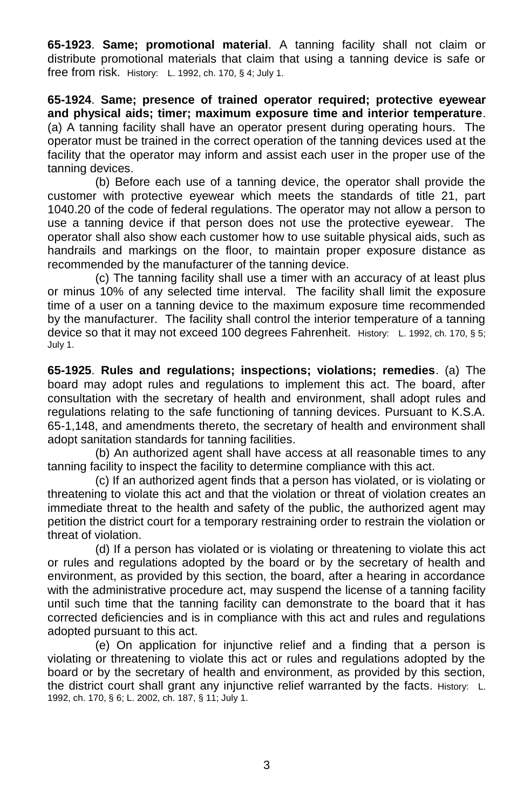**65-1923**. **Same; promotional material**. A tanning facility shall not claim or distribute promotional materials that claim that using a tanning device is safe or free from risk. History: L. 1992, ch. 170, § 4; July 1.

**65-1924**. **Same; presence of trained operator required; protective eyewear and physical aids; timer; maximum exposure time and interior temperature**. (a) A tanning facility shall have an operator present during operating hours. The operator must be trained in the correct operation of the tanning devices used at the facility that the operator may inform and assist each user in the proper use of the tanning devices.

(b) Before each use of a tanning device, the operator shall provide the customer with protective eyewear which meets the standards of title 21, part 1040.20 of the code of federal regulations. The operator may not allow a person to use a tanning device if that person does not use the protective eyewear. The operator shall also show each customer how to use suitable physical aids, such as handrails and markings on the floor, to maintain proper exposure distance as recommended by the manufacturer of the tanning device.

(c) The tanning facility shall use a timer with an accuracy of at least plus or minus 10% of any selected time interval. The facility shall limit the exposure time of a user on a tanning device to the maximum exposure time recommended by the manufacturer. The facility shall control the interior temperature of a tanning device so that it may not exceed 100 degrees Fahrenheit. History: L. 1992, ch. 170, § 5; July 1.

**65-1925**. **Rules and regulations; inspections; violations; remedies**. (a) The board may adopt rules and regulations to implement this act. The board, after consultation with the secretary of health and environment, shall adopt rules and regulations relating to the safe functioning of tanning devices. Pursuant to K.S.A. 65-1,148, and amendments thereto, the secretary of health and environment shall adopt sanitation standards for tanning facilities.

(b) An authorized agent shall have access at all reasonable times to any tanning facility to inspect the facility to determine compliance with this act.

(c) If an authorized agent finds that a person has violated, or is violating or threatening to violate this act and that the violation or threat of violation creates an immediate threat to the health and safety of the public, the authorized agent may petition the district court for a temporary restraining order to restrain the violation or threat of violation.

(d) If a person has violated or is violating or threatening to violate this act or rules and regulations adopted by the board or by the secretary of health and environment, as provided by this section, the board, after a hearing in accordance with the administrative procedure act, may suspend the license of a tanning facility until such time that the tanning facility can demonstrate to the board that it has corrected deficiencies and is in compliance with this act and rules and regulations adopted pursuant to this act.

(e) On application for injunctive relief and a finding that a person is violating or threatening to violate this act or rules and regulations adopted by the board or by the secretary of health and environment, as provided by this section, the district court shall grant any injunctive relief warranted by the facts. History: L. 1992, ch. 170, § 6; L. 2002, ch. 187, § 11; July 1.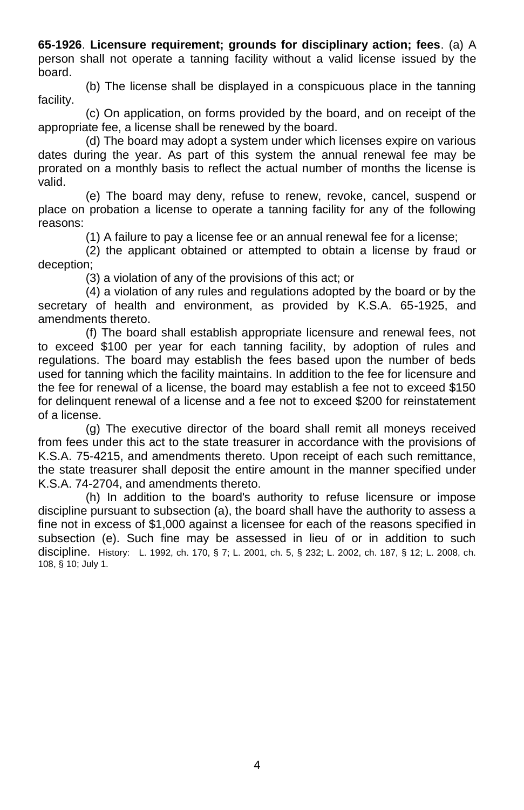**65-1926**. **Licensure requirement; grounds for disciplinary action; fees**. (a) A person shall not operate a tanning facility without a valid license issued by the board.

(b) The license shall be displayed in a conspicuous place in the tanning facility.

(c) On application, on forms provided by the board, and on receipt of the appropriate fee, a license shall be renewed by the board.

(d) The board may adopt a system under which licenses expire on various dates during the year. As part of this system the annual renewal fee may be prorated on a monthly basis to reflect the actual number of months the license is valid.

(e) The board may deny, refuse to renew, revoke, cancel, suspend or place on probation a license to operate a tanning facility for any of the following reasons:

(1) A failure to pay a license fee or an annual renewal fee for a license;

(2) the applicant obtained or attempted to obtain a license by fraud or deception;

(3) a violation of any of the provisions of this act; or

(4) a violation of any rules and regulations adopted by the board or by the secretary of health and environment, as provided by K.S.A. 65-1925, and amendments thereto.

(f) The board shall establish appropriate licensure and renewal fees, not to exceed \$100 per year for each tanning facility, by adoption of rules and regulations. The board may establish the fees based upon the number of beds used for tanning which the facility maintains. In addition to the fee for licensure and the fee for renewal of a license, the board may establish a fee not to exceed \$150 for delinquent renewal of a license and a fee not to exceed \$200 for reinstatement of a license.

(g) The executive director of the board shall remit all moneys received from fees under this act to the state treasurer in accordance with the provisions of K.S.A. 75-4215, and amendments thereto. Upon receipt of each such remittance, the state treasurer shall deposit the entire amount in the manner specified under K.S.A. 74-2704, and amendments thereto.

(h) In addition to the board's authority to refuse licensure or impose discipline pursuant to subsection (a), the board shall have the authority to assess a fine not in excess of \$1,000 against a licensee for each of the reasons specified in subsection (e). Such fine may be assessed in lieu of or in addition to such discipline. History: L. 1992, ch. 170, § 7; L. 2001, ch. 5, § 232; L. 2002, ch. 187, § 12; L. 2008, ch. 108, § 10; July 1.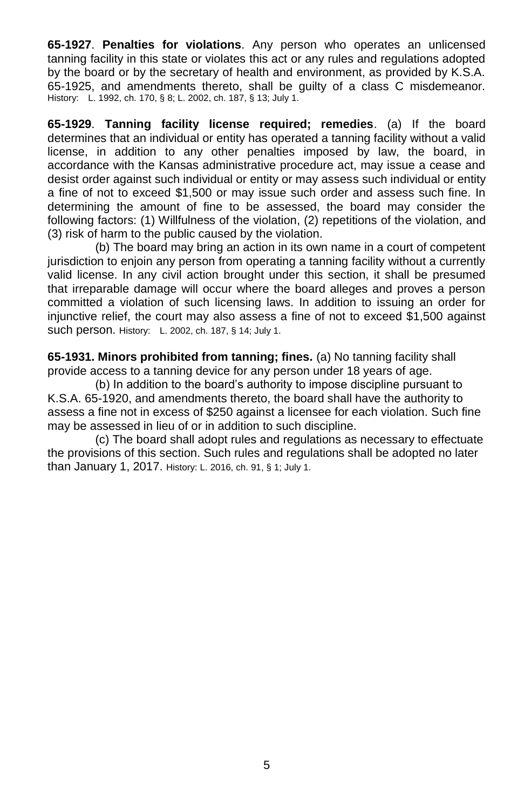**65-1927**. **Penalties for violations**. Any person who operates an unlicensed tanning facility in this state or violates this act or any rules and regulations adopted by the board or by the secretary of health and environment, as provided by K.S.A. 65-1925, and amendments thereto, shall be guilty of a class C misdemeanor. History: L. 1992, ch. 170, § 8; L. 2002, ch. 187, § 13; July 1.

**65-1929**. **Tanning facility license required; remedies**. (a) If the board determines that an individual or entity has operated a tanning facility without a valid license, in addition to any other penalties imposed by law, the board, in accordance with the Kansas administrative procedure act, may issue a cease and desist order against such individual or entity or may assess such individual or entity a fine of not to exceed \$1,500 or may issue such order and assess such fine. In determining the amount of fine to be assessed, the board may consider the following factors: (1) Willfulness of the violation, (2) repetitions of the violation, and (3) risk of harm to the public caused by the violation.

(b) The board may bring an action in its own name in a court of competent jurisdiction to enjoin any person from operating a tanning facility without a currently valid license. In any civil action brought under this section, it shall be presumed that irreparable damage will occur where the board alleges and proves a person committed a violation of such licensing laws. In addition to issuing an order for injunctive relief, the court may also assess a fine of not to exceed \$1,500 against such person. History: L. 2002, ch. 187, § 14; July 1.

**65-1931. Minors prohibited from tanning; fines.** (a) No tanning facility shall provide access to a tanning device for any person under 18 years of age.

(b) In addition to the board's authority to impose discipline pursuant to K.S.A. 65-1920, and amendments thereto, the board shall have the authority to assess a fine not in excess of \$250 against a licensee for each violation. Such fine may be assessed in lieu of or in addition to such discipline.

(c) The board shall adopt rules and regulations as necessary to effectuate the provisions of this section. Such rules and regulations shall be adopted no later than January 1, 2017. History: L. 2016, ch. 91, § 1; July 1.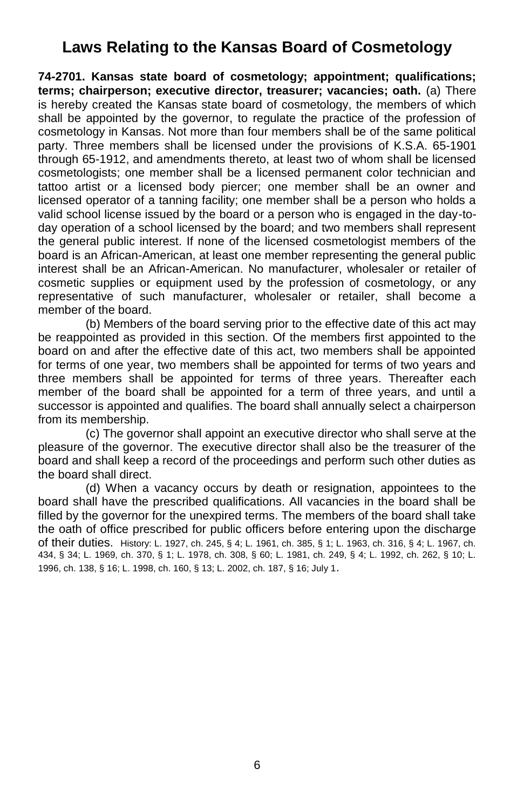### **Laws Relating to the Kansas Board of Cosmetology**

**74-2701. Kansas state board of cosmetology; appointment; qualifications; terms; chairperson; executive director, treasurer; vacancies; oath.** (a) There is hereby created the Kansas state board of cosmetology, the members of which shall be appointed by the governor, to regulate the practice of the profession of cosmetology in Kansas. Not more than four members shall be of the same political party. Three members shall be licensed under the provisions of K.S.A. 65-1901 through 65-1912, and amendments thereto, at least two of whom shall be licensed cosmetologists; one member shall be a licensed permanent color technician and tattoo artist or a licensed body piercer; one member shall be an owner and licensed operator of a tanning facility; one member shall be a person who holds a valid school license issued by the board or a person who is engaged in the day-today operation of a school licensed by the board; and two members shall represent the general public interest. If none of the licensed cosmetologist members of the board is an African-American, at least one member representing the general public interest shall be an African-American. No manufacturer, wholesaler or retailer of cosmetic supplies or equipment used by the profession of cosmetology, or any representative of such manufacturer, wholesaler or retailer, shall become a member of the board.

(b) Members of the board serving prior to the effective date of this act may be reappointed as provided in this section. Of the members first appointed to the board on and after the effective date of this act, two members shall be appointed for terms of one year, two members shall be appointed for terms of two years and three members shall be appointed for terms of three years. Thereafter each member of the board shall be appointed for a term of three years, and until a successor is appointed and qualifies. The board shall annually select a chairperson from its membership.

(c) The governor shall appoint an executive director who shall serve at the pleasure of the governor. The executive director shall also be the treasurer of the board and shall keep a record of the proceedings and perform such other duties as the board shall direct.

(d) When a vacancy occurs by death or resignation, appointees to the board shall have the prescribed qualifications. All vacancies in the board shall be filled by the governor for the unexpired terms. The members of the board shall take the oath of office prescribed for public officers before entering upon the discharge of their duties. History: L. 1927, ch. 245, § 4; L. 1961, ch. 385, § 1; L. 1963, ch. 316, § 4; L. 1967, ch. 434, § 34; L. 1969, ch. 370, § 1; L. 1978, ch. 308, § 60; L. 1981, ch. 249, § 4; L. 1992, ch. 262, § 10; L. 1996, ch. 138, § 16; L. 1998, ch. 160, § 13; L. 2002, ch. 187, § 16; July 1.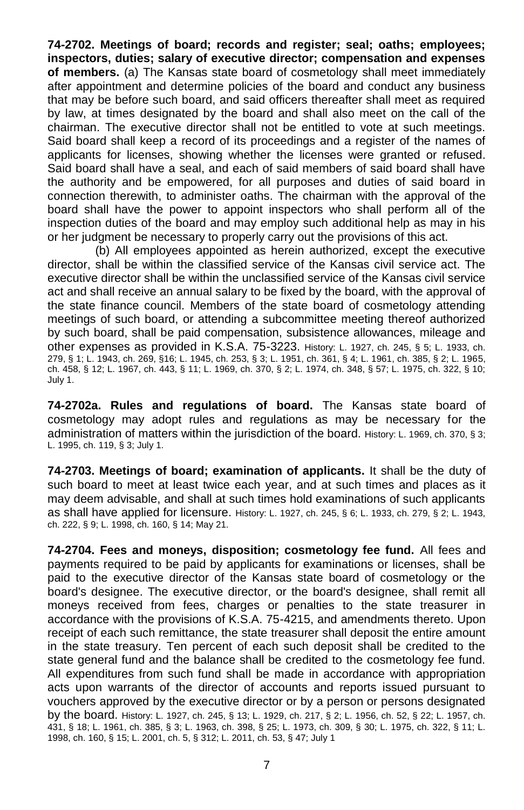**74-2702. Meetings of board; records and register; seal; oaths; employees; inspectors, duties; salary of executive director; compensation and expenses of members.** (a) The Kansas state board of cosmetology shall meet immediately after appointment and determine policies of the board and conduct any business that may be before such board, and said officers thereafter shall meet as required by law, at times designated by the board and shall also meet on the call of the chairman. The executive director shall not be entitled to vote at such meetings. Said board shall keep a record of its proceedings and a register of the names of applicants for licenses, showing whether the licenses were granted or refused. Said board shall have a seal, and each of said members of said board shall have the authority and be empowered, for all purposes and duties of said board in connection therewith, to administer oaths. The chairman with the approval of the board shall have the power to appoint inspectors who shall perform all of the inspection duties of the board and may employ such additional help as may in his or her judgment be necessary to properly carry out the provisions of this act.

(b) All employees appointed as herein authorized, except the executive director, shall be within the classified service of the Kansas civil service act. The executive director shall be within the unclassified service of the Kansas civil service act and shall receive an annual salary to be fixed by the board, with the approval of the state finance council. Members of the state board of cosmetology attending meetings of such board, or attending a subcommittee meeting thereof authorized by such board, shall be paid compensation, subsistence allowances, mileage and other expenses as provided in K.S.A. 75-3223. History: L. 1927, ch. 245, § 5; L. 1933, ch. 279, § 1; L. 1943, ch. 269, §16; L. 1945, ch. 253, § 3; L. 1951, ch. 361, § 4; L. 1961, ch. 385, § 2; L. 1965, ch. 458, § 12; L. 1967, ch. 443, § 11; L. 1969, ch. 370, § 2; L. 1974, ch. 348, § 57; L. 1975, ch. 322, § 10; July 1.

**74-2702a. Rules and regulations of board.** The Kansas state board of cosmetology may adopt rules and regulations as may be necessary for the administration of matters within the jurisdiction of the board. History: L. 1969, ch. 370, § 3; L. 1995, ch. 119, § 3; July 1.

**74-2703. Meetings of board; examination of applicants.** It shall be the duty of such board to meet at least twice each year, and at such times and places as it may deem advisable, and shall at such times hold examinations of such applicants as shall have applied for licensure. History: L. 1927, ch. 245, § 6; L. 1933, ch. 279, § 2; L. 1943, ch. 222, § 9; L. 1998, ch. 160, § 14; May 21.

**74-2704. Fees and moneys, disposition; cosmetology fee fund.** All fees and payments required to be paid by applicants for examinations or licenses, shall be paid to the executive director of the Kansas state board of cosmetology or the board's designee. The executive director, or the board's designee, shall remit all moneys received from fees, charges or penalties to the state treasurer in accordance with the provisions of K.S.A. 75-4215, and amendments thereto. Upon receipt of each such remittance, the state treasurer shall deposit the entire amount in the state treasury. Ten percent of each such deposit shall be credited to the state general fund and the balance shall be credited to the cosmetology fee fund. All expenditures from such fund shall be made in accordance with appropriation acts upon warrants of the director of accounts and reports issued pursuant to vouchers approved by the executive director or by a person or persons designated by the board. History: L. 1927, ch. 245, § 13; L. 1929, ch. 217, § 2; L. 1956, ch. 52, § 22; L. 1957, ch. 431, § 18; L. 1961, ch. 385, § 3; L. 1963, ch. 398, § 25; L. 1973, ch. 309, § 30; L. 1975, ch. 322, § 11; L. 1998, ch. 160, § 15; L. 2001, ch. 5, § 312; L. 2011, ch. 53, § 47; July 1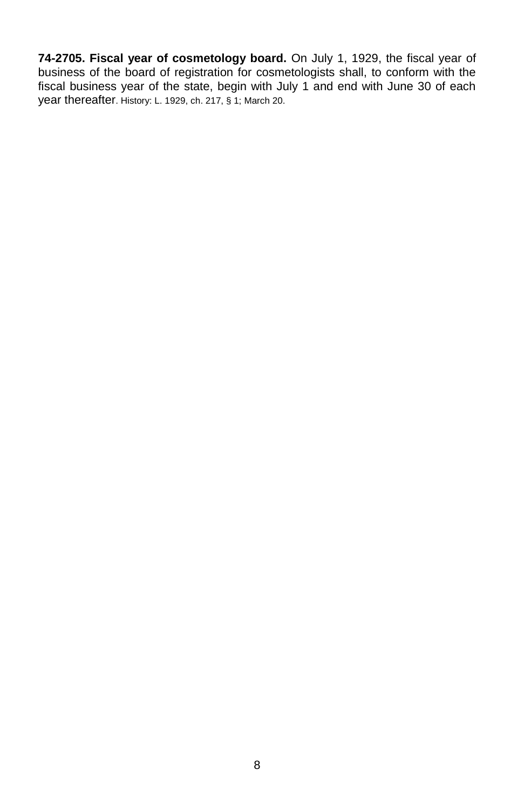**74-2705. Fiscal year of cosmetology board.** On July 1, 1929, the fiscal year of business of the board of registration for cosmetologists shall, to conform with the fiscal business year of the state, begin with July 1 and end with June 30 of each year thereafter. History: L. 1929, ch. 217, § 1; March 20.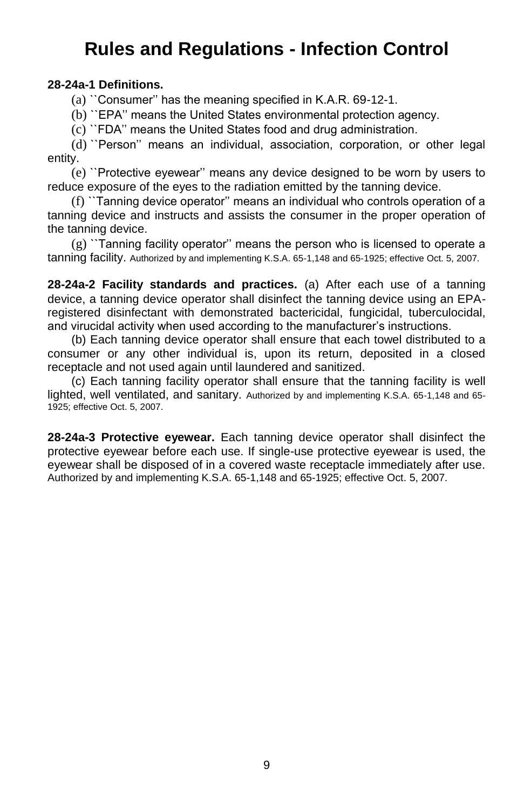### **Rules and Regulations - Infection Control**

#### **28-24a-1 Definitions.**

(a) ``Consumer'' has the meaning specified in K.A.R. 69-12-1.

(b) ``EPA'' means the United States environmental protection agency.

(c) ``FDA'' means the United States food and drug administration.

(d) ``Person'' means an individual, association, corporation, or other legal entity.

(e) ``Protective eyewear'' means any device designed to be worn by users to reduce exposure of the eyes to the radiation emitted by the tanning device.

(f) ``Tanning device operator'' means an individual who controls operation of a tanning device and instructs and assists the consumer in the proper operation of the tanning device.

(g) ``Tanning facility operator'' means the person who is licensed to operate a tanning facility. Authorized by and implementing K.S.A. 65-1,148 and 65-1925; effective Oct. 5, 2007.

**28-24a-2 Facility standards and practices.** (a) After each use of a tanning device, a tanning device operator shall disinfect the tanning device using an EPAregistered disinfectant with demonstrated bactericidal, fungicidal, tuberculocidal, and virucidal activity when used according to the manufacturer's instructions.

(b) Each tanning device operator shall ensure that each towel distributed to a consumer or any other individual is, upon its return, deposited in a closed receptacle and not used again until laundered and sanitized.

(c) Each tanning facility operator shall ensure that the tanning facility is well lighted, well ventilated, and sanitary. Authorized by and implementing K.S.A. 65-1,148 and 65- 1925; effective Oct. 5, 2007.

**28-24a-3 Protective eyewear.** Each tanning device operator shall disinfect the protective eyewear before each use. If single-use protective eyewear is used, the eyewear shall be disposed of in a covered waste receptacle immediately after use. Authorized by and implementing K.S.A. 65-1,148 and 65-1925; effective Oct. 5, 2007.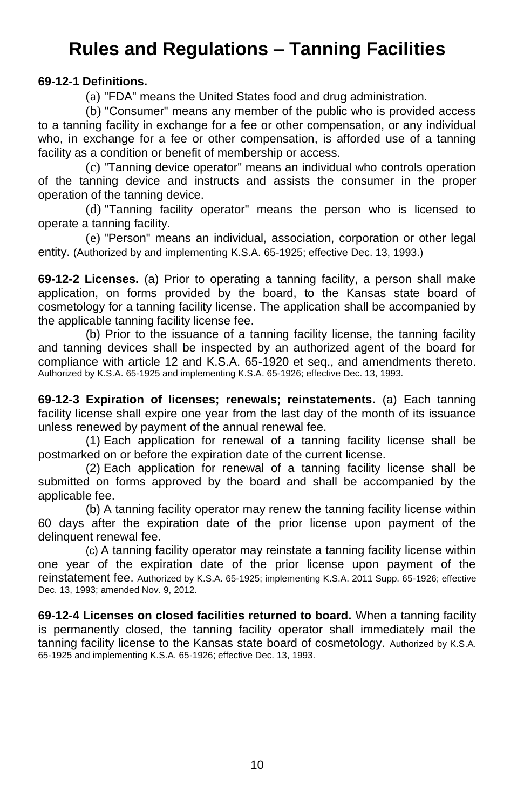# **Rules and Regulations – Tanning Facilities**

#### **69-12-1 Definitions.**

(a) "FDA" means the United States food and drug administration.

(b) "Consumer" means any member of the public who is provided access to a tanning facility in exchange for a fee or other compensation, or any individual who, in exchange for a fee or other compensation, is afforded use of a tanning facility as a condition or benefit of membership or access.

(c) "Tanning device operator" means an individual who controls operation of the tanning device and instructs and assists the consumer in the proper operation of the tanning device.

(d) "Tanning facility operator" means the person who is licensed to operate a tanning facility.

(e) "Person" means an individual, association, corporation or other legal entity. (Authorized by and implementing K.S.A. 65-1925; effective Dec. 13, 1993.)

**69-12-2 Licenses.** (a) Prior to operating a tanning facility, a person shall make application, on forms provided by the board, to the Kansas state board of cosmetology for a tanning facility license. The application shall be accompanied by the applicable tanning facility license fee.

(b) Prior to the issuance of a tanning facility license, the tanning facility and tanning devices shall be inspected by an authorized agent of the board for compliance with article 12 and K.S.A. 65-1920 et seq., and amendments thereto. Authorized by K.S.A. 65-1925 and implementing K.S.A. 65-1926; effective Dec. 13, 1993.

**69-12-3 Expiration of licenses; renewals; reinstatements.** (a) Each tanning facility license shall expire one year from the last day of the month of its issuance unless renewed by payment of the annual renewal fee.

(1) Each application for renewal of a tanning facility license shall be postmarked on or before the expiration date of the current license.

(2) Each application for renewal of a tanning facility license shall be submitted on forms approved by the board and shall be accompanied by the applicable fee.

(b) A tanning facility operator may renew the tanning facility license within 60 days after the expiration date of the prior license upon payment of the delinquent renewal fee.

(c) A tanning facility operator may reinstate a tanning facility license within one year of the expiration date of the prior license upon payment of the reinstatement fee. Authorized by K.S.A. 65-1925; implementing K.S.A. 2011 Supp. 65-1926; effective Dec. 13, 1993; amended Nov. 9, 2012.

**69-12-4 Licenses on closed facilities returned to board.** When a tanning facility is permanently closed, the tanning facility operator shall immediately mail the tanning facility license to the Kansas state board of cosmetology. Authorized by K.S.A. 65-1925 and implementing K.S.A. 65-1926; effective Dec. 13, 1993.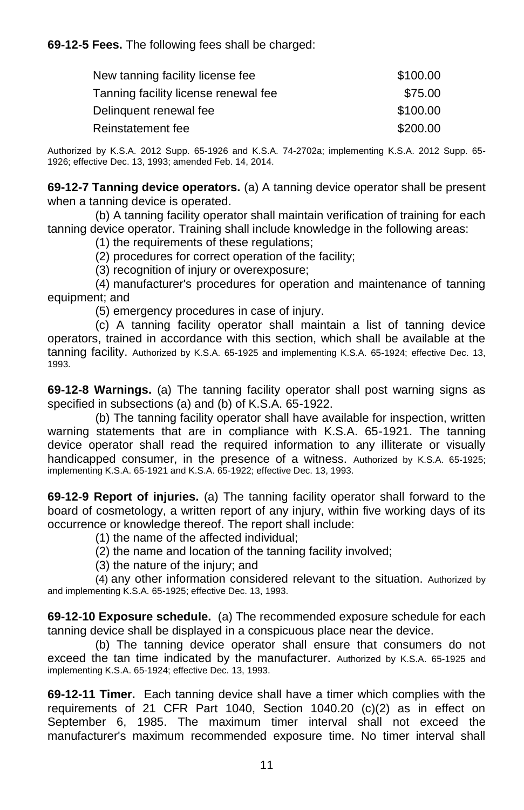**69-12-5 Fees.** The following fees shall be charged:

| New tanning facility license fee     | \$100.00 |
|--------------------------------------|----------|
| Tanning facility license renewal fee | \$75.00  |
| Delinguent renewal fee               | \$100.00 |
| Reinstatement fee                    | \$200.00 |

Authorized by K.S.A. 2012 Supp. 65-1926 and K.S.A. 74-2702a; implementing K.S.A. 2012 Supp. 65- 1926; effective Dec. 13, 1993; amended Feb. 14, 2014.

**69-12-7 Tanning device operators.** (a) A tanning device operator shall be present when a tanning device is operated.

(b) A tanning facility operator shall maintain verification of training for each tanning device operator. Training shall include knowledge in the following areas:

(1) the requirements of these regulations;

(2) procedures for correct operation of the facility;

(3) recognition of injury or overexposure;

(4) manufacturer's procedures for operation and maintenance of tanning equipment; and

(5) emergency procedures in case of injury.

(c) A tanning facility operator shall maintain a list of tanning device operators, trained in accordance with this section, which shall be available at the tanning facility. Authorized by K.S.A. 65-1925 and implementing K.S.A. 65-1924; effective Dec. 13, 1993.

**69-12-8 Warnings.** (a) The tanning facility operator shall post warning signs as specified in subsections (a) and (b) of K.S.A. 65-1922.

(b) The tanning facility operator shall have available for inspection, written warning statements that are in compliance with K.S.A. 65-1921. The tanning device operator shall read the required information to any illiterate or visually handicapped consumer, in the presence of a witness. Authorized by K.S.A. 65-1925; implementing K.S.A. 65-1921 and K.S.A. 65-1922; effective Dec. 13, 1993.

**69-12-9 Report of injuries.** (a) The tanning facility operator shall forward to the board of cosmetology, a written report of any injury, within five working days of its occurrence or knowledge thereof. The report shall include:

(1) the name of the affected individual;

(2) the name and location of the tanning facility involved;

(3) the nature of the injury; and

(4) any other information considered relevant to the situation. Authorized by and implementing K.S.A. 65-1925; effective Dec. 13, 1993.

**69-12-10 Exposure schedule.** (a) The recommended exposure schedule for each tanning device shall be displayed in a conspicuous place near the device.

(b) The tanning device operator shall ensure that consumers do not exceed the tan time indicated by the manufacturer. Authorized by K.S.A. 65-1925 and implementing K.S.A. 65-1924; effective Dec. 13, 1993.

**69-12-11 Timer.** Each tanning device shall have a timer which complies with the requirements of 21 CFR Part 1040, Section 1040.20 (c)(2) as in effect on September 6, 1985. The maximum timer interval shall not exceed the manufacturer's maximum recommended exposure time. No timer interval shall